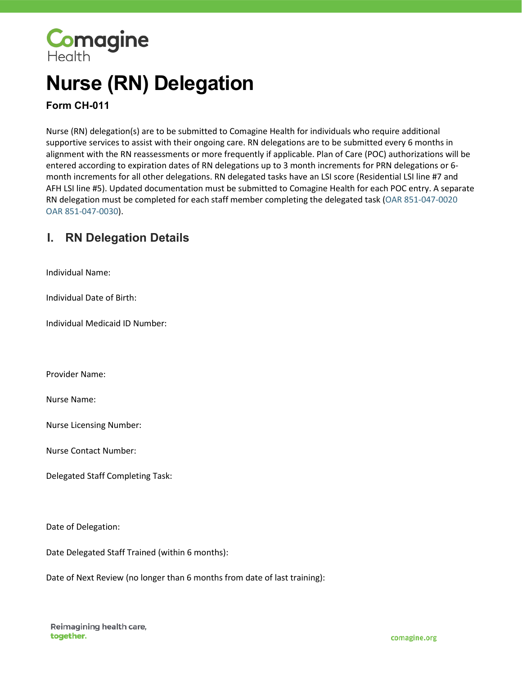

## **Nurse (RN) Delegation**

**Form CH-011**

Nurse (RN) delegation(s) are to be submitted to Comagine Health for individuals who require additional supportive services to assist with their ongoing care. RN delegations are to be submitted every 6 months in alignment with the RN reassessments or more frequently if applicable. Plan of Care (POC) authorizations will be entered according to expiration dates of RN delegations up to 3 month increments for PRN delegations or 6 month increments for all other delegations. RN delegated tasks have an LSI score (Residential LSI line #7 and AFH LSI line #5). Updated documentation must be submitted to Comagine Health for each POC entry. A separate RN delegation must be completed for each staff member completing the delegated task (OAR 851-047-0020 OAR 851-047-0030).

## **I. RN Delegation Details**

Individual Name:

Individual Date of Birth:

Individual Medicaid ID Number:

Provider Name:

Nurse Name:

Nurse Licensing Number:

Nurse Contact Number:

Delegated Staff Completing Task:

Date of Delegation:

Date Delegated Staff Trained (within 6 months):

Date of Next Review (no longer than 6 months from date of last training):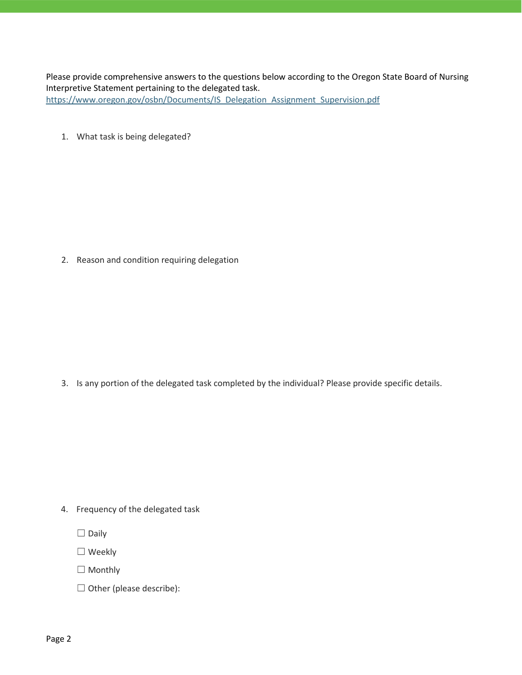Please provide comprehensive answers to the questions below according to the Oregon State Board of Nursing Interpretive Statement pertaining to the delegated task. [https://www.oregon.gov/osbn/Documents/IS\\_Delegation\\_Assignment\\_Supervision.pdf](https://www.oregon.gov/osbn/Documents/IS_Delegation_Assignment_Supervision.pdf)

1. What task is being delegated?

2. Reason and condition requiring delegation

3. Is any portion of the delegated task completed by the individual? Please provide specific details.

- 4. Frequency of the delegated task
	- ☐ Daily
	- ☐ Weekly
	- □ Monthly
	- ☐ Other (please describe):